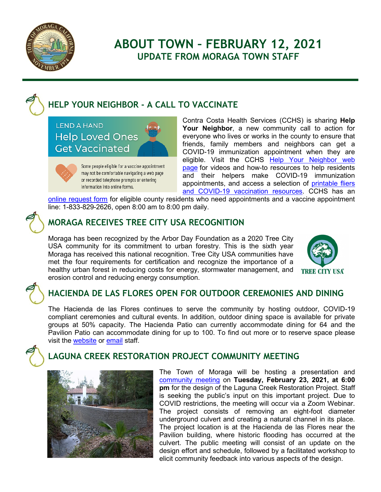

# **ABOUT TOWN – FEBRUARY 12, 2021 UPDATE FROM MORAGA TOWN STAFF**

## **HELP YOUR NEIGHBOR - A CALL TO VACCINATE**

**LEND A HAND Help Loved Ones Get Vaccinated** 



Some people eligible for a vaccine appointment may not be comfortable navigating a web page or recorded telephone prompts or entering information into online forms.

Contra Costa Health Services (CCHS) is sharing **Help Your Neighbor**, a new community call to action for everyone who lives or works in the county to ensure that friends, family members and neighbors can get a COVID-19 immunization appointment when they are eligible. Visit the CCHS Help Your Neighbor web [page](https://www.coronavirus.cchealth.org/appointment-guide) for videos and how-to resources to help residents and their helpers make COVID-19 immunization appointments, and access a selection of printable fliers [and COVID-19 vaccination resources.](https://www.coronavirus.cchealth.org/communications-toolkit) CCHS has an

[online request form](https://forms.microsoft.com/Pages/ResponsePage.aspx?id=3tkgKC3cY0OGJvKwA0OMRRd1QfIVjtpAkM-cYiio35ZUM0hIWVpaOTJHSDBTM0ZLSU5SNUM3NEo0OCQlQCN0PWcu) for eligible county residents who need appointments and a vaccine appointment line: 1-833-829-2626, open 8:00 am to 8:00 pm daily.



## **MORAGA RECEIVES TREE CITY USA RECOGNITION**

Moraga has been recognized by the Arbor Day Foundation as a 2020 Tree City USA community for its commitment to urban forestry. This is the sixth year Moraga has received this national recognition. Tree City USA communities have met the four requirements for certification and recognize the importance of a healthy urban forest in reducing costs for energy, stormwater management, and erosion control and reducing energy consumption.



## **HACIENDA DE LAS FLORES OPEN FOR OUTDOOR CEREMONIES AND DINING**

The Hacienda de las Flores continues to serve the community by hosting outdoor, COVID-19 compliant ceremonies and cultural events. In addition, outdoor dining space is available for private groups at 50% capacity. The Hacienda Patio can currently accommodate dining for 64 and the Pavilion Patio can accommodate dining for up to 100. To find out more or to reserve space please visit the [website](https://ca-moraga.civicplus.com/242/Hacienda-de-las-Flores) or [email](mailto:rents@moraga.ca.us) staff.



## **LAGUNA CREEK RESTORATION PROJECT COMMUNITY MEETING**



The Town of Moraga will be hosting a presentation and [community meeting](https://www.moraga.ca.us/465/Laguna-Creek-Restoration-Project) on **Tuesday, February 23, 2021, at 6:00 pm** for the design of the Laguna Creek Restoration Project. Staff is seeking the public's input on this important project. Due to COVID restrictions, the meeting will occur via a Zoom Webinar. The project consists of removing an eight-foot diameter underground culvert and creating a natural channel in its place. The project location is at the Hacienda de las Flores near the Pavilion building, where historic flooding has occurred at the culvert. The public meeting will consist of an update on the design effort and schedule, followed by a facilitated workshop to elicit community feedback into various aspects of the design.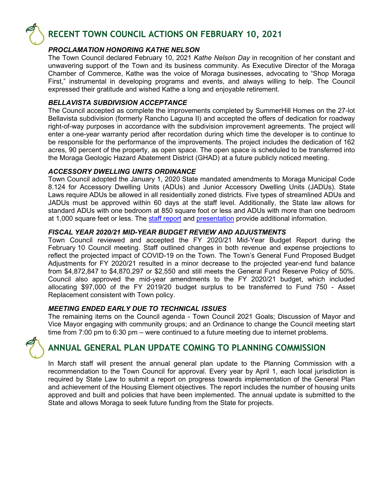

## **RECENT TOWN COUNCIL ACTIONS ON FEBRUARY 10, 2021**

### *PROCLAMATION HONORING KATHE NELSON*

The Town Council declared February 10, 2021 *Kathe Nelson Day* in recognition of her constant and unwavering support of the Town and its business community. As Executive Director of the Moraga Chamber of Commerce, Kathe was the voice of Moraga businesses, advocating to "Shop Moraga First," instrumental in developing programs and events, and always willing to help. The Council expressed their gratitude and wished Kathe a long and enjoyable retirement.

### *BELLAVISTA SUBDIVISION ACCEPTANCE*

The Council accepted as complete the improvements completed by SummerHill Homes on the 27-lot Bellavista subdivision (formerly Rancho Laguna II) and accepted the offers of dedication for roadway right-of-way purposes in accordance with the subdivision improvement agreements. The project will enter a one-year warranty period after recordation during which time the developer is to continue to be responsible for the performance of the improvements. The project includes the dedication of 162 acres, 90 percent of the property, as open space. The open space is scheduled to be transferred into the Moraga Geologic Hazard Abatement District (GHAD) at a future publicly noticed meeting.

### *ACCESSORY DWELLING UNITS ORDINANCE*

Town Council adopted the January 1, 2020 State mandated amendments to Moraga Municipal Code 8.124 for Accessory Dwelling Units (ADUs) and Junior Accessory Dwelling Units (JADUs). State Laws require ADUs be allowed in all residentially zoned districts. Five types of streamlined ADUs and JADUs must be approved within 60 days at the staff level. Additionally, the State law allows for standard ADUs with one bedroom at 850 square foot or less and ADUs with more than one bedroom at 1,000 square feet or less. The [staff report](https://www.moraga.ca.us/DocumentCenter/View/5644/Council-02-10-21-ADUs-Ordinance---1st-Reading-PDF) and [presentation](https://www.moraga.ca.us/DocumentCenter/View/5656/02-10-21-PowerPoint-Presentation-for-ADU-Ordinance-PDF) provide additional information.

### *FISCAL YEAR 2020/21 MID-YEAR BUDGET REVIEW AND ADJUSTMENTS*

Town Council reviewed and accepted the FY 2020/21 Mid-Year Budget Report during the February 10 Council meeting. Staff outlined changes in both revenue and expense projections to reflect the projected impact of COVID-19 on the Town. The Town's General Fund Proposed Budget Adjustments for FY 2020/21 resulted in a minor decrease to the projected year-end fund balance from \$4,872,847 to \$4,870,297 or \$2,550 and still meets the General Fund Reserve Policy of 50%. Council also approved the mid-year amendments to the FY 2020/21 budget, which included allocating \$97,000 of the FY 2019/20 budget surplus to be transferred to Fund 750 - Asset Replacement consistent with Town policy.

#### *MEETING ENDED EARLY DUE TO TECHNICAL ISSUES*

The remaining items on the Council agenda - Town Council 2021 Goals; Discussion of Mayor and Vice Mayor engaging with community groups; and an Ordinance to change the Council meeting start time from 7:00 pm to 6:30 pm – were continued to a future meeting due to internet problems.



## **ANNUAL GENERAL PLAN UPDATE COMING TO PLANNING COMMISSION**

In March staff will present the annual general plan update to the Planning Commission with a recommendation to the Town Council for approval. Every year by April 1, each local jurisdiction is required by State Law to submit a report on progress towards implementation of the General Plan and achievement of the Housing Element objectives. The report includes the number of housing units approved and built and policies that have been implemented. The annual update is submitted to the State and allows Moraga to seek future funding from the State for projects.